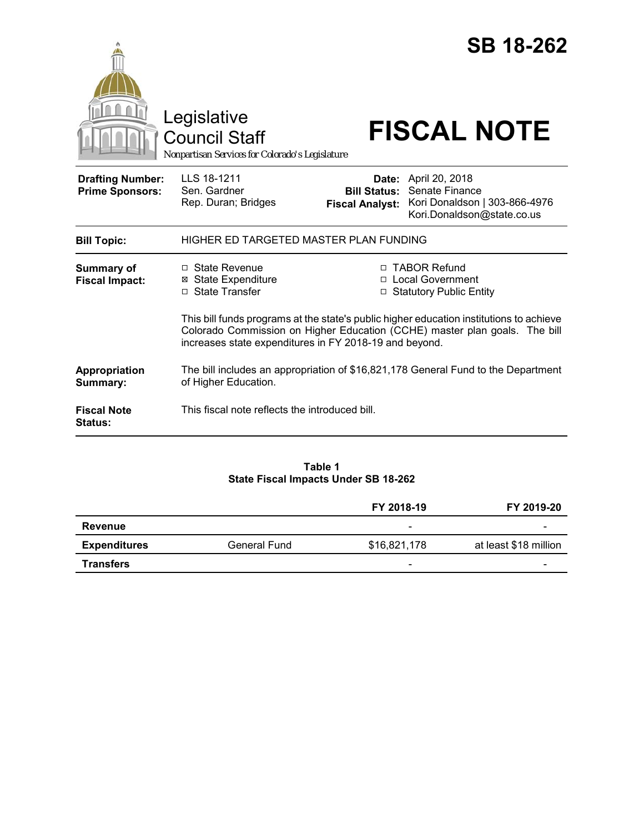|                                                   |                                                                                                                                                                                                                                 |                        | <b>SB 18-262</b>                                                                                                          |  |
|---------------------------------------------------|---------------------------------------------------------------------------------------------------------------------------------------------------------------------------------------------------------------------------------|------------------------|---------------------------------------------------------------------------------------------------------------------------|--|
|                                                   | Legislative<br>Council Staff<br>Nonpartisan Services for Colorado's Legislature                                                                                                                                                 |                        | <b>FISCAL NOTE</b>                                                                                                        |  |
| <b>Drafting Number:</b><br><b>Prime Sponsors:</b> | LLS 18-1211<br>Sen. Gardner<br>Rep. Duran; Bridges                                                                                                                                                                              | <b>Fiscal Analyst:</b> | Date: April 20, 2018<br><b>Bill Status: Senate Finance</b><br>Kori Donaldson   303-866-4976<br>Kori.Donaldson@state.co.us |  |
| <b>Bill Topic:</b>                                | HIGHER ED TARGETED MASTER PLAN FUNDING                                                                                                                                                                                          |                        |                                                                                                                           |  |
| Summary of<br><b>Fiscal Impact:</b>               | □ State Revenue<br><b>State Expenditure</b><br>⊠<br>□ State Transfer                                                                                                                                                            |                        | □ TABOR Refund<br>□ Local Government<br>□ Statutory Public Entity                                                         |  |
|                                                   | This bill funds programs at the state's public higher education institutions to achieve<br>Colorado Commission on Higher Education (CCHE) master plan goals. The bill<br>increases state expenditures in FY 2018-19 and beyond. |                        |                                                                                                                           |  |
| Appropriation<br>Summary:                         | The bill includes an appropriation of \$16,821,178 General Fund to the Department<br>of Higher Education.                                                                                                                       |                        |                                                                                                                           |  |
| <b>Fiscal Note</b><br><b>Status:</b>              | This fiscal note reflects the introduced bill.                                                                                                                                                                                  |                        |                                                                                                                           |  |

## **Table 1 State Fiscal Impacts Under SB 18-262**

|                     |              | FY 2018-19               | FY 2019-20               |
|---------------------|--------------|--------------------------|--------------------------|
| Revenue             |              | -                        | -                        |
| <b>Expenditures</b> | General Fund | \$16,821,178             | at least \$18 million    |
| <b>Transfers</b>    |              | $\overline{\phantom{0}}$ | $\overline{\phantom{0}}$ |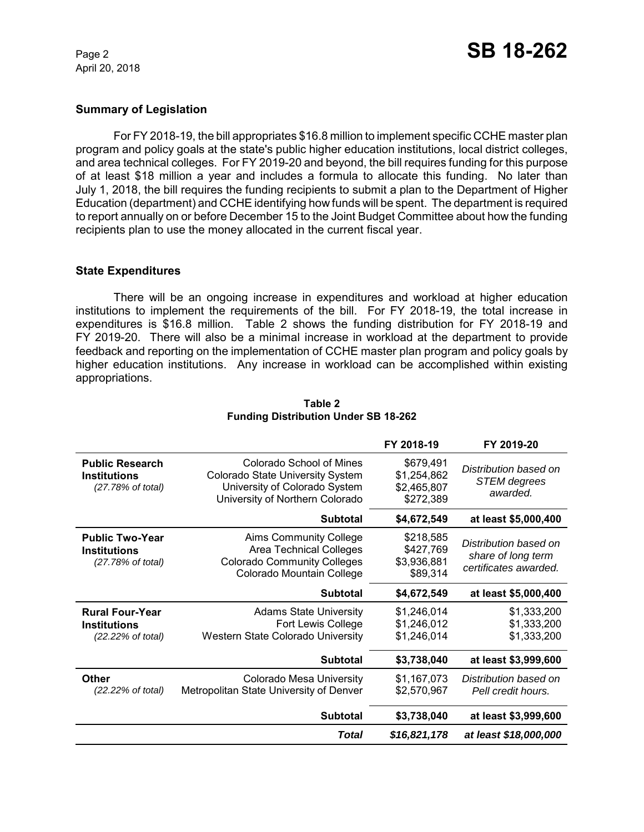April 20, 2018

## **Summary of Legislation**

For FY 2018-19, the bill appropriates \$16.8 million to implement specific CCHE master plan program and policy goals at the state's public higher education institutions, local district colleges, and area technical colleges. For FY 2019-20 and beyond, the bill requires funding for this purpose of at least \$18 million a year and includes a formula to allocate this funding. No later than July 1, 2018, the bill requires the funding recipients to submit a plan to the Department of Higher Education (department) and CCHE identifying how funds will be spent. The department is required to report annually on or before December 15 to the Joint Budget Committee about how the funding recipients plan to use the money allocated in the current fiscal year.

#### **State Expenditures**

There will be an ongoing increase in expenditures and workload at higher education institutions to implement the requirements of the bill. For FY 2018-19, the total increase in expenditures is \$16.8 million. Table 2 shows the funding distribution for FY 2018-19 and FY 2019-20. There will also be a minimal increase in workload at the department to provide feedback and reporting on the implementation of CCHE master plan program and policy goals by higher education institutions. Any increase in workload can be accomplished within existing appropriations.

|                                                                    |                                                                                                                                         | FY 2018-19                                           | FY 2019-20                                                           |
|--------------------------------------------------------------------|-----------------------------------------------------------------------------------------------------------------------------------------|------------------------------------------------------|----------------------------------------------------------------------|
| <b>Public Research</b><br><b>Institutions</b><br>(27.78% of total) | Colorado School of Mines<br><b>Colorado State University System</b><br>University of Colorado System<br>University of Northern Colorado | \$679,491<br>\$1,254,862<br>\$2,465,807<br>\$272,389 | Distribution based on<br><b>STEM</b> degrees<br>awarded.             |
|                                                                    | <b>Subtotal</b>                                                                                                                         | \$4,672,549                                          | at least \$5,000,400                                                 |
| <b>Public Two-Year</b><br><b>Institutions</b><br>(27.78% of total) | <b>Aims Community College</b><br><b>Area Technical Colleges</b><br><b>Colorado Community Colleges</b><br>Colorado Mountain College      | \$218,585<br>\$427,769<br>\$3,936,881<br>\$89,314    | Distribution based on<br>share of long term<br>certificates awarded. |
|                                                                    | <b>Subtotal</b>                                                                                                                         | \$4,672,549                                          | at least \$5,000,400                                                 |
| <b>Rural Four-Year</b><br><b>Institutions</b><br>(22.22% of total) | <b>Adams State University</b><br>Fort Lewis College<br>Western State Colorado University                                                | \$1,246,014<br>\$1,246,012<br>\$1,246,014            | \$1,333,200<br>\$1,333,200<br>\$1,333,200                            |
|                                                                    | <b>Subtotal</b>                                                                                                                         | \$3,738,040                                          | at least \$3,999,600                                                 |
| Other<br>(22.22% of total)                                         | <b>Colorado Mesa University</b><br>Metropolitan State University of Denver                                                              | \$1,167,073<br>\$2,570,967                           | Distribution based on<br>Pell credit hours.                          |
|                                                                    | <b>Subtotal</b>                                                                                                                         | \$3,738,040                                          | at least \$3,999,600                                                 |
|                                                                    | Total                                                                                                                                   | \$16,821,178                                         | at least \$18,000,000                                                |

#### **Table 2 Funding Distribution Under SB 18-262**